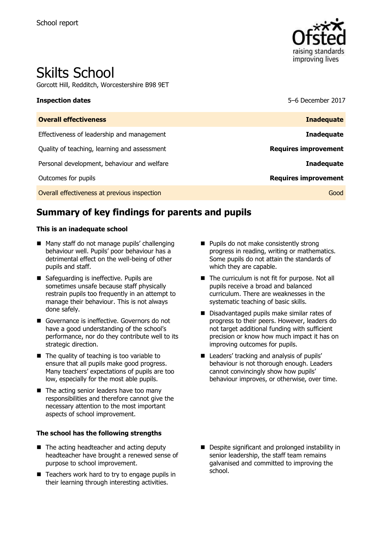

# Skilts School

Gorcott Hill, Redditch, Worcestershire B98 9ET

**Inspection dates** 5–6 December 2017

| <b>Overall effectiveness</b>                 | <b>Inadequate</b>           |
|----------------------------------------------|-----------------------------|
| Effectiveness of leadership and management   | <b>Inadequate</b>           |
| Quality of teaching, learning and assessment | <b>Requires improvement</b> |
| Personal development, behaviour and welfare  | <b>Inadequate</b>           |
| Outcomes for pupils                          | <b>Requires improvement</b> |
| Overall effectiveness at previous inspection | Good                        |

# **Summary of key findings for parents and pupils**

#### **This is an inadequate school**

- Many staff do not manage pupils' challenging behaviour well. Pupils' poor behaviour has a detrimental effect on the well-being of other pupils and staff.
- Safeguarding is ineffective. Pupils are sometimes unsafe because staff physically restrain pupils too frequently in an attempt to manage their behaviour. This is not always done safely.
- Governance is ineffective. Governors do not have a good understanding of the school's performance, nor do they contribute well to its strategic direction.
- $\blacksquare$  The quality of teaching is too variable to ensure that all pupils make good progress. Many teachers' expectations of pupils are too low, especially for the most able pupils.
- The acting senior leaders have too many responsibilities and therefore cannot give the necessary attention to the most important aspects of school improvement.

#### **The school has the following strengths**

- The acting headteacher and acting deputy headteacher have brought a renewed sense of purpose to school improvement.
- $\blacksquare$  Teachers work hard to try to engage pupils in their learning through interesting activities.
- **Pupils do not make consistently strong** progress in reading, writing or mathematics. Some pupils do not attain the standards of which they are capable.
- The curriculum is not fit for purpose. Not all pupils receive a broad and balanced curriculum. There are weaknesses in the systematic teaching of basic skills.
- Disadvantaged pupils make similar rates of progress to their peers. However, leaders do not target additional funding with sufficient precision or know how much impact it has on improving outcomes for pupils.
- Leaders' tracking and analysis of pupils' behaviour is not thorough enough. Leaders cannot convincingly show how pupils' behaviour improves, or otherwise, over time.

Despite significant and prolonged instability in senior leadership, the staff team remains galvanised and committed to improving the school.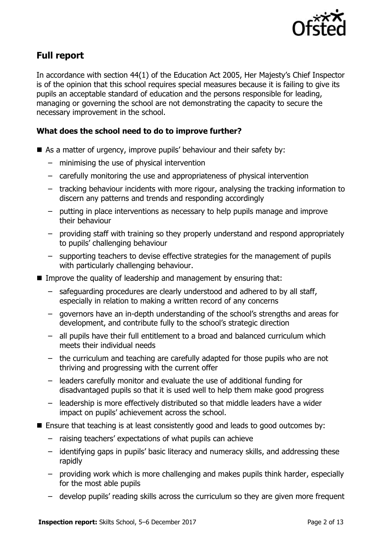

# **Full report**

In accordance with section 44(1) of the Education Act 2005, Her Majesty's Chief Inspector is of the opinion that this school requires special measures because it is failing to give its pupils an acceptable standard of education and the persons responsible for leading, managing or governing the school are not demonstrating the capacity to secure the necessary improvement in the school.

### **What does the school need to do to improve further?**

- As a matter of urgency, improve pupils' behaviour and their safety by:
	- minimising the use of physical intervention
	- carefully monitoring the use and appropriateness of physical intervention
	- tracking behaviour incidents with more rigour, analysing the tracking information to discern any patterns and trends and responding accordingly
	- putting in place interventions as necessary to help pupils manage and improve their behaviour
	- providing staff with training so they properly understand and respond appropriately to pupils' challenging behaviour
	- supporting teachers to devise effective strategies for the management of pupils with particularly challenging behaviour.
- Improve the quality of leadership and management by ensuring that:
	- safeguarding procedures are clearly understood and adhered to by all staff, especially in relation to making a written record of any concerns
	- governors have an in-depth understanding of the school's strengths and areas for development, and contribute fully to the school's strategic direction
	- all pupils have their full entitlement to a broad and balanced curriculum which meets their individual needs
	- the curriculum and teaching are carefully adapted for those pupils who are not thriving and progressing with the current offer
	- leaders carefully monitor and evaluate the use of additional funding for disadvantaged pupils so that it is used well to help them make good progress
	- leadership is more effectively distributed so that middle leaders have a wider impact on pupils' achievement across the school.
- Ensure that teaching is at least consistently good and leads to good outcomes by:
	- raising teachers' expectations of what pupils can achieve
	- identifying gaps in pupils' basic literacy and numeracy skills, and addressing these rapidly
	- providing work which is more challenging and makes pupils think harder, especially for the most able pupils
	- develop pupils' reading skills across the curriculum so they are given more frequent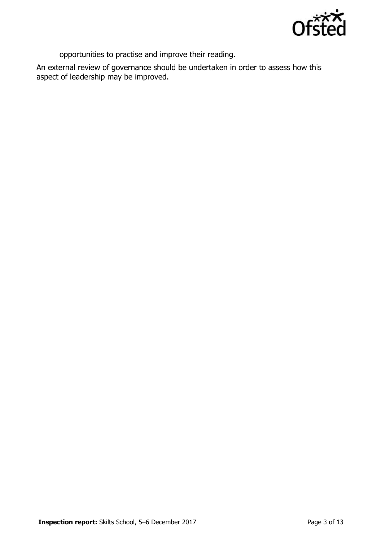

opportunities to practise and improve their reading.

An external review of governance should be undertaken in order to assess how this aspect of leadership may be improved.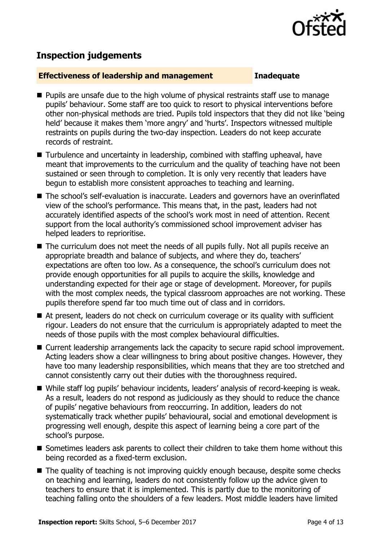

## **Inspection judgements**

#### **Effectiveness of leadership and management Inadequate**

- **Pupils are unsafe due to the high volume of physical restraints staff use to manage** pupils' behaviour. Some staff are too quick to resort to physical interventions before other non-physical methods are tried. Pupils told inspectors that they did not like 'being held' because it makes them 'more angry' and 'hurts'. Inspectors witnessed multiple restraints on pupils during the two-day inspection. Leaders do not keep accurate records of restraint.
- Turbulence and uncertainty in leadership, combined with staffing upheaval, have meant that improvements to the curriculum and the quality of teaching have not been sustained or seen through to completion. It is only very recently that leaders have begun to establish more consistent approaches to teaching and learning.
- The school's self-evaluation is inaccurate. Leaders and governors have an overinflated view of the school's performance. This means that, in the past, leaders had not accurately identified aspects of the school's work most in need of attention. Recent support from the local authority's commissioned school improvement adviser has helped leaders to reprioritise.
- The curriculum does not meet the needs of all pupils fully. Not all pupils receive an appropriate breadth and balance of subjects, and where they do, teachers' expectations are often too low. As a consequence, the school's curriculum does not provide enough opportunities for all pupils to acquire the skills, knowledge and understanding expected for their age or stage of development. Moreover, for pupils with the most complex needs, the typical classroom approaches are not working. These pupils therefore spend far too much time out of class and in corridors.
- At present, leaders do not check on curriculum coverage or its quality with sufficient rigour. Leaders do not ensure that the curriculum is appropriately adapted to meet the needs of those pupils with the most complex behavioural difficulties.
- Current leadership arrangements lack the capacity to secure rapid school improvement. Acting leaders show a clear willingness to bring about positive changes. However, they have too many leadership responsibilities, which means that they are too stretched and cannot consistently carry out their duties with the thoroughness required.
- While staff log pupils' behaviour incidents, leaders' analysis of record-keeping is weak. As a result, leaders do not respond as judiciously as they should to reduce the chance of pupils' negative behaviours from reoccurring. In addition, leaders do not systematically track whether pupils' behavioural, social and emotional development is progressing well enough, despite this aspect of learning being a core part of the school's purpose.
- Sometimes leaders ask parents to collect their children to take them home without this being recorded as a fixed-term exclusion.
- The quality of teaching is not improving quickly enough because, despite some checks on teaching and learning, leaders do not consistently follow up the advice given to teachers to ensure that it is implemented. This is partly due to the monitoring of teaching falling onto the shoulders of a few leaders. Most middle leaders have limited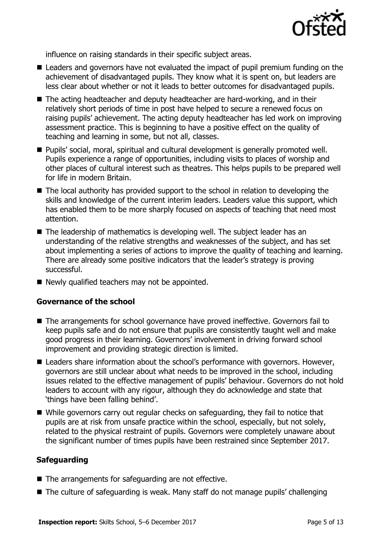

influence on raising standards in their specific subject areas.

- Leaders and governors have not evaluated the impact of pupil premium funding on the achievement of disadvantaged pupils. They know what it is spent on, but leaders are less clear about whether or not it leads to better outcomes for disadvantaged pupils.
- The acting headteacher and deputy headteacher are hard-working, and in their relatively short periods of time in post have helped to secure a renewed focus on raising pupils' achievement. The acting deputy headteacher has led work on improving assessment practice. This is beginning to have a positive effect on the quality of teaching and learning in some, but not all, classes.
- Pupils' social, moral, spiritual and cultural development is generally promoted well. Pupils experience a range of opportunities, including visits to places of worship and other places of cultural interest such as theatres. This helps pupils to be prepared well for life in modern Britain.
- The local authority has provided support to the school in relation to developing the skills and knowledge of the current interim leaders. Leaders value this support, which has enabled them to be more sharply focused on aspects of teaching that need most attention.
- The leadership of mathematics is developing well. The subject leader has an understanding of the relative strengths and weaknesses of the subject, and has set about implementing a series of actions to improve the quality of teaching and learning. There are already some positive indicators that the leader's strategy is proving successful.
- $\blacksquare$  Newly qualified teachers may not be appointed.

#### **Governance of the school**

- The arrangements for school governance have proved ineffective. Governors fail to keep pupils safe and do not ensure that pupils are consistently taught well and make good progress in their learning. Governors' involvement in driving forward school improvement and providing strategic direction is limited.
- Leaders share information about the school's performance with governors. However, governors are still unclear about what needs to be improved in the school, including issues related to the effective management of pupils' behaviour. Governors do not hold leaders to account with any rigour, although they do acknowledge and state that 'things have been falling behind'.
- While governors carry out regular checks on safeguarding, they fail to notice that pupils are at risk from unsafe practice within the school, especially, but not solely, related to the physical restraint of pupils. Governors were completely unaware about the significant number of times pupils have been restrained since September 2017.

#### **Safeguarding**

- The arrangements for safeguarding are not effective.
- The culture of safeguarding is weak. Many staff do not manage pupils' challenging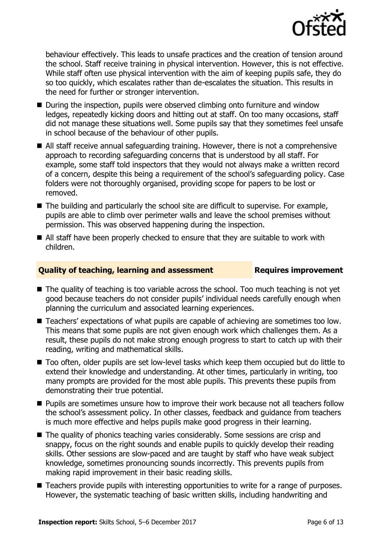

behaviour effectively. This leads to unsafe practices and the creation of tension around the school. Staff receive training in physical intervention. However, this is not effective. While staff often use physical intervention with the aim of keeping pupils safe, they do so too quickly, which escalates rather than de-escalates the situation. This results in the need for further or stronger intervention.

- During the inspection, pupils were observed climbing onto furniture and window ledges, repeatedly kicking doors and hitting out at staff. On too many occasions, staff did not manage these situations well. Some pupils say that they sometimes feel unsafe in school because of the behaviour of other pupils.
- All staff receive annual safeguarding training. However, there is not a comprehensive approach to recording safeguarding concerns that is understood by all staff. For example, some staff told inspectors that they would not always make a written record of a concern, despite this being a requirement of the school's safeguarding policy. Case folders were not thoroughly organised, providing scope for papers to be lost or removed.
- The building and particularly the school site are difficult to supervise. For example, pupils are able to climb over perimeter walls and leave the school premises without permission. This was observed happening during the inspection.
- All staff have been properly checked to ensure that they are suitable to work with children.

### **Quality of teaching, learning and assessment Requires improvement**

- The quality of teaching is too variable across the school. Too much teaching is not yet good because teachers do not consider pupils' individual needs carefully enough when planning the curriculum and associated learning experiences.
- Teachers' expectations of what pupils are capable of achieving are sometimes too low. This means that some pupils are not given enough work which challenges them. As a result, these pupils do not make strong enough progress to start to catch up with their reading, writing and mathematical skills.
- Too often, older pupils are set low-level tasks which keep them occupied but do little to extend their knowledge and understanding. At other times, particularly in writing, too many prompts are provided for the most able pupils. This prevents these pupils from demonstrating their true potential.
- **Pupils are sometimes unsure how to improve their work because not all teachers follow** the school's assessment policy. In other classes, feedback and guidance from teachers is much more effective and helps pupils make good progress in their learning.
- The quality of phonics teaching varies considerably. Some sessions are crisp and snappy, focus on the right sounds and enable pupils to quickly develop their reading skills. Other sessions are slow-paced and are taught by staff who have weak subject knowledge, sometimes pronouncing sounds incorrectly. This prevents pupils from making rapid improvement in their basic reading skills.
- **Teachers provide pupils with interesting opportunities to write for a range of purposes.** However, the systematic teaching of basic written skills, including handwriting and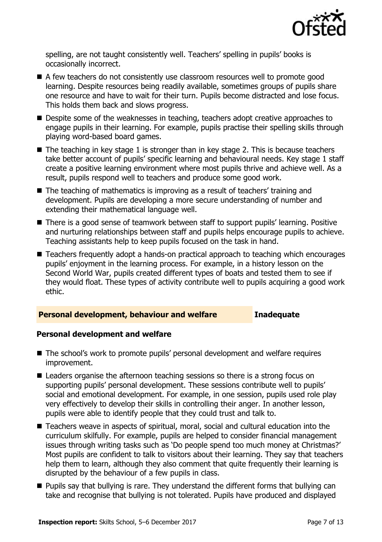

spelling, are not taught consistently well. Teachers' spelling in pupils' books is occasionally incorrect.

- A few teachers do not consistently use classroom resources well to promote good learning. Despite resources being readily available, sometimes groups of pupils share one resource and have to wait for their turn. Pupils become distracted and lose focus. This holds them back and slows progress.
- Despite some of the weaknesses in teaching, teachers adopt creative approaches to engage pupils in their learning. For example, pupils practise their spelling skills through playing word-based board games.
- $\blacksquare$  The teaching in key stage 1 is stronger than in key stage 2. This is because teachers take better account of pupils' specific learning and behavioural needs. Key stage 1 staff create a positive learning environment where most pupils thrive and achieve well. As a result, pupils respond well to teachers and produce some good work.
- The teaching of mathematics is improving as a result of teachers' training and development. Pupils are developing a more secure understanding of number and extending their mathematical language well.
- There is a good sense of teamwork between staff to support pupils' learning. Positive and nurturing relationships between staff and pupils helps encourage pupils to achieve. Teaching assistants help to keep pupils focused on the task in hand.
- Teachers frequently adopt a hands-on practical approach to teaching which encourages pupils' enjoyment in the learning process. For example, in a history lesson on the Second World War, pupils created different types of boats and tested them to see if they would float. These types of activity contribute well to pupils acquiring a good work ethic.

#### **Personal development, behaviour and welfare Inadequate**

#### **Personal development and welfare**

- The school's work to promote pupils' personal development and welfare requires improvement.
- Leaders organise the afternoon teaching sessions so there is a strong focus on supporting pupils' personal development. These sessions contribute well to pupils' social and emotional development. For example, in one session, pupils used role play very effectively to develop their skills in controlling their anger. In another lesson, pupils were able to identify people that they could trust and talk to.
- Teachers weave in aspects of spiritual, moral, social and cultural education into the curriculum skilfully. For example, pupils are helped to consider financial management issues through writing tasks such as 'Do people spend too much money at Christmas?' Most pupils are confident to talk to visitors about their learning. They say that teachers help them to learn, although they also comment that quite frequently their learning is disrupted by the behaviour of a few pupils in class.
- **Pupils say that bullying is rare. They understand the different forms that bullying can** take and recognise that bullying is not tolerated. Pupils have produced and displayed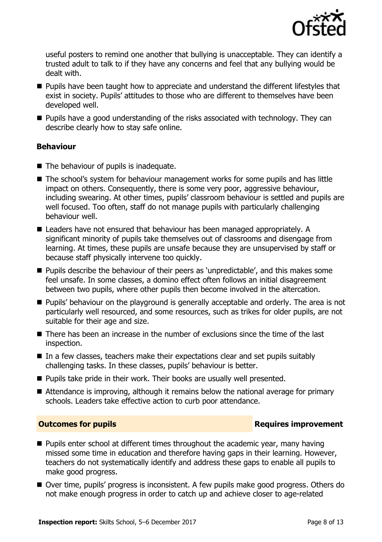

useful posters to remind one another that bullying is unacceptable. They can identify a trusted adult to talk to if they have any concerns and feel that any bullying would be dealt with.

- **Pupils have been taught how to appreciate and understand the different lifestyles that** exist in society. Pupils' attitudes to those who are different to themselves have been developed well.
- Pupils have a good understanding of the risks associated with technology. They can describe clearly how to stay safe online.

### **Behaviour**

- The behaviour of pupils is inadequate.
- The school's system for behaviour management works for some pupils and has little impact on others. Consequently, there is some very poor, aggressive behaviour, including swearing. At other times, pupils' classroom behaviour is settled and pupils are well focused. Too often, staff do not manage pupils with particularly challenging behaviour well.
- Leaders have not ensured that behaviour has been managed appropriately. A significant minority of pupils take themselves out of classrooms and disengage from learning. At times, these pupils are unsafe because they are unsupervised by staff or because staff physically intervene too quickly.
- **Pupils describe the behaviour of their peers as 'unpredictable', and this makes some** feel unsafe. In some classes, a domino effect often follows an initial disagreement between two pupils, where other pupils then become involved in the altercation.
- **Pupils' behaviour on the playground is generally acceptable and orderly. The area is not** particularly well resourced, and some resources, such as trikes for older pupils, are not suitable for their age and size.
- $\blacksquare$  There has been an increase in the number of exclusions since the time of the last inspection.
- $\blacksquare$  In a few classes, teachers make their expectations clear and set pupils suitably challenging tasks. In these classes, pupils' behaviour is better.
- **Pupils take pride in their work. Their books are usually well presented.**
- Attendance is improving, although it remains below the national average for primary schools. Leaders take effective action to curb poor attendance.

#### **Outcomes for pupils Requires improvement**

- **Pupils enter school at different times throughout the academic year, many having** missed some time in education and therefore having gaps in their learning. However, teachers do not systematically identify and address these gaps to enable all pupils to make good progress.
- Over time, pupils' progress is inconsistent. A few pupils make good progress. Others do not make enough progress in order to catch up and achieve closer to age-related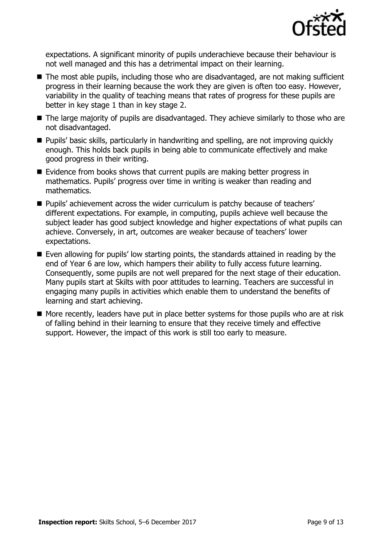

expectations. A significant minority of pupils underachieve because their behaviour is not well managed and this has a detrimental impact on their learning.

- The most able pupils, including those who are disadvantaged, are not making sufficient progress in their learning because the work they are given is often too easy. However, variability in the quality of teaching means that rates of progress for these pupils are better in key stage 1 than in key stage 2.
- The large majority of pupils are disadvantaged. They achieve similarly to those who are not disadvantaged.
- **Pupils' basic skills, particularly in handwriting and spelling, are not improving quickly** enough. This holds back pupils in being able to communicate effectively and make good progress in their writing.
- Evidence from books shows that current pupils are making better progress in mathematics. Pupils' progress over time in writing is weaker than reading and mathematics.
- **Pupils'** achievement across the wider curriculum is patchy because of teachers' different expectations. For example, in computing, pupils achieve well because the subject leader has good subject knowledge and higher expectations of what pupils can achieve. Conversely, in art, outcomes are weaker because of teachers' lower expectations.
- Even allowing for pupils' low starting points, the standards attained in reading by the end of Year 6 are low, which hampers their ability to fully access future learning. Consequently, some pupils are not well prepared for the next stage of their education. Many pupils start at Skilts with poor attitudes to learning. Teachers are successful in engaging many pupils in activities which enable them to understand the benefits of learning and start achieving.
- More recently, leaders have put in place better systems for those pupils who are at risk of falling behind in their learning to ensure that they receive timely and effective support. However, the impact of this work is still too early to measure.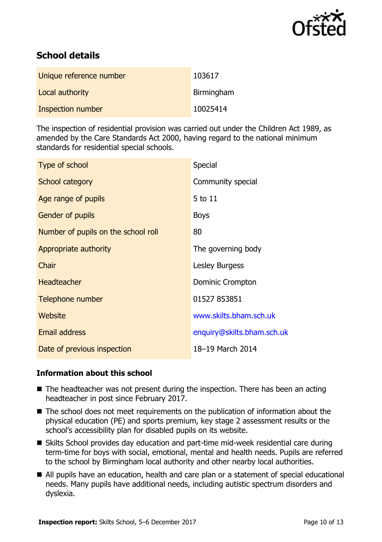

# **School details**

| Unique reference number | 103617     |
|-------------------------|------------|
| Local authority         | Birmingham |
| Inspection number       | 10025414   |

The inspection of residential provision was carried out under the Children Act 1989, as amended by the Care Standards Act 2000, having regard to the national minimum standards for residential special schools.

| Type of school                      | Special                    |
|-------------------------------------|----------------------------|
| <b>School category</b>              | Community special          |
| Age range of pupils                 | 5 to 11                    |
| <b>Gender of pupils</b>             | <b>Boys</b>                |
| Number of pupils on the school roll | 80                         |
| Appropriate authority               | The governing body         |
| Chair                               | Lesley Burgess             |
| <b>Headteacher</b>                  | Dominic Crompton           |
| Telephone number                    | 01527 853851               |
| Website                             | www.skilts.bham.sch.uk     |
| Email address                       | enquiry@skilts.bham.sch.uk |
| Date of previous inspection         | 18-19 March 2014           |

### **Information about this school**

- $\blacksquare$  The headteacher was not present during the inspection. There has been an acting headteacher in post since February 2017.
- The school does not meet requirements on the publication of information about the physical education (PE) and sports premium, key stage 2 assessment results or the school's accessibility plan for disabled pupils on its website.
- Skilts School provides day education and part-time mid-week residential care during term-time for boys with social, emotional, mental and health needs. Pupils are referred to the school by Birmingham local authority and other nearby local authorities.
- All pupils have an education, health and care plan or a statement of special educational needs. Many pupils have additional needs, including autistic spectrum disorders and dyslexia.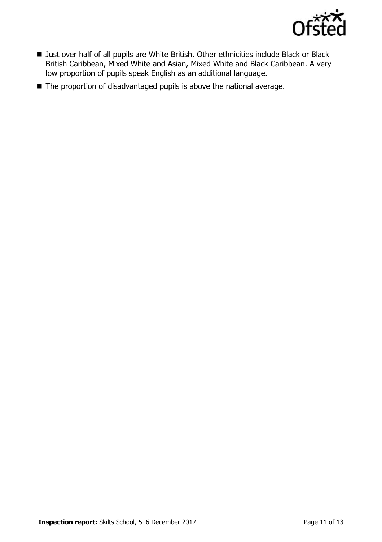

- Just over half of all pupils are White British. Other ethnicities include Black or Black British Caribbean, Mixed White and Asian, Mixed White and Black Caribbean. A very low proportion of pupils speak English as an additional language.
- The proportion of disadvantaged pupils is above the national average.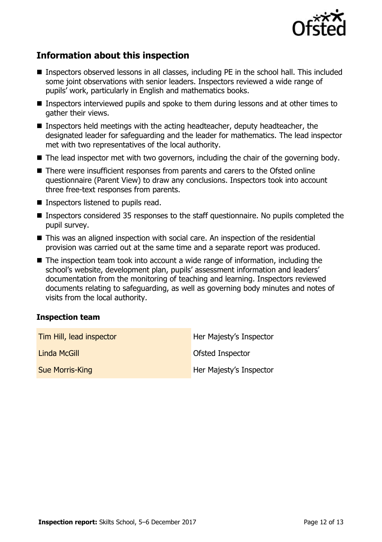

# **Information about this inspection**

- Inspectors observed lessons in all classes, including PE in the school hall. This included some joint observations with senior leaders. Inspectors reviewed a wide range of pupils' work, particularly in English and mathematics books.
- Inspectors interviewed pupils and spoke to them during lessons and at other times to gather their views.
- **Inspectors held meetings with the acting headteacher, deputy headteacher, the** designated leader for safeguarding and the leader for mathematics. The lead inspector met with two representatives of the local authority.
- $\blacksquare$  The lead inspector met with two governors, including the chair of the governing body.
- There were insufficient responses from parents and carers to the Ofsted online questionnaire (Parent View) to draw any conclusions. Inspectors took into account three free-text responses from parents.
- Inspectors listened to pupils read.
- Inspectors considered 35 responses to the staff questionnaire. No pupils completed the pupil survey.
- This was an aligned inspection with social care. An inspection of the residential provision was carried out at the same time and a separate report was produced.
- The inspection team took into account a wide range of information, including the school's website, development plan, pupils' assessment information and leaders' documentation from the monitoring of teaching and learning. Inspectors reviewed documents relating to safeguarding, as well as governing body minutes and notes of visits from the local authority.

### **Inspection team**

| Tim Hill, lead inspector | Her Majesty's Inspector |
|--------------------------|-------------------------|
| Linda McGill             | Ofsted Inspector        |
| <b>Sue Morris-King</b>   | Her Majesty's Inspector |